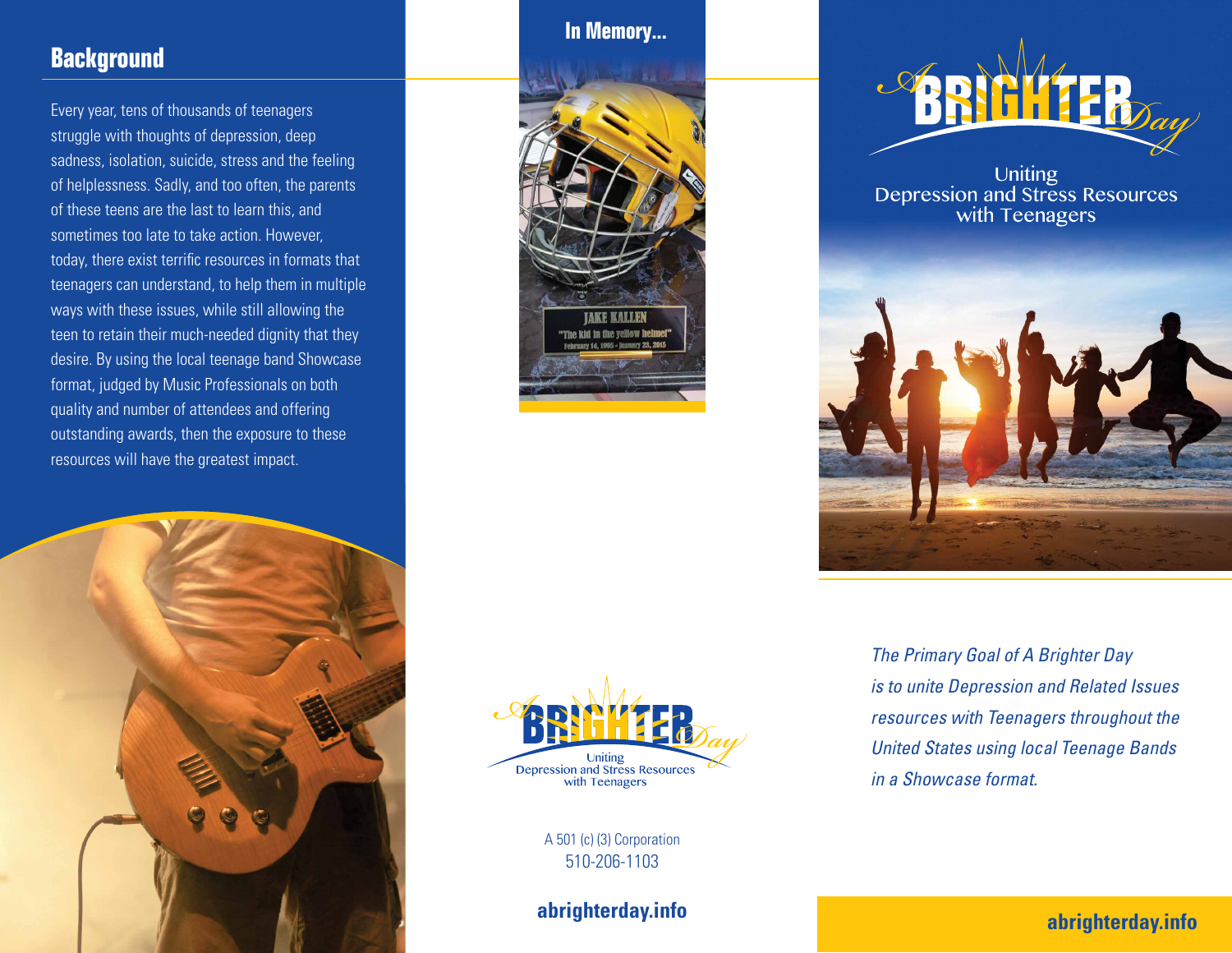# **Background**

Every year, tens of thousands of teenagers struggle with thoughts of depression, deep sadness, isolation, suicide, stress and the feeling of helplessness. Sadly, and too often, the parents of these teens are the last to learn this, and sometimes too late to take action. However, today, there exist terrific resources in formats that teenagers can understand, to help them in multiple ways with these issues, while still allowing the teen to retain their much-needed dignity that they desire. By using the local teenage band Showcase format, judged by Music Professionals on both quality and number of attendees and offering outstanding awards, then the exposure to these resources will have the greatest impact.



#### **In Memory...**





A 501 (c) (3) Corporation 510-206-1103

**abrighterday.info**



Uniting<br>Depression and Stress Resources with Teenagers



*The Primary Goal of A Brighter Day is to unite Depression and Related Issues resources with Teenagers throughout the United States using local Teenage Bands in a Showcase format.* 

**abrighterday.info**